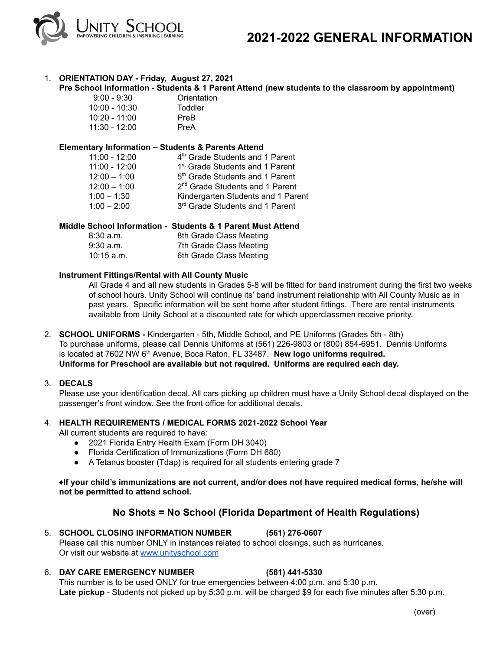

# 1. **ORIENTATION DAY - Friday, August 27, 2021**

# **Pre School Information - Students & 1 Parent Attend (new students to the classroom by appointment)**

| $9:00 - 9:30$ | Orientation |
|---------------|-------------|
| 10:00 - 10:30 | Toddler     |
| 10:20 - 11:00 | PreB        |
| 11:30 - 12:00 | PreA        |

#### **Elementary Information – Students & Parents Attend**

| $11:00 - 12:00$ | 4 <sup>th</sup> Grade Students and 1 Parent |
|-----------------|---------------------------------------------|
| $11:00 - 12:00$ | 1 <sup>st</sup> Grade Students and 1 Parent |
| $12:00 - 1:00$  | 5 <sup>th</sup> Grade Students and 1 Parent |
| $12:00 - 1:00$  | 2 <sup>nd</sup> Grade Students and 1 Parent |
| $1:00 - 1:30$   | Kindergarten Students and 1 Parent          |
| $1:00 - 2:00$   | 3rd Grade Students and 1 Parent             |

# **Middle School Information - Students & 1 Parent Must Attend**

| 8:30a.m.     | 8th Grade Class Meeting |
|--------------|-------------------------|
| $9:30$ a.m.  | 7th Grade Class Meeting |
| $10:15$ a.m. | 6th Grade Class Meeting |

#### **Instrument Fittings/Rental with All County Music**

All Grade 4 and all new students in Grades 5-8 will be fitted for band instrument during the first two weeks of school hours. Unity School will continue its' band instrument relationship with All County Music as in past years. Specific information will be sent home after student fittings. There are rental instruments available from Unity School at a discounted rate for which upperclassmen receive priority.

- 2. **SCHOOL UNIFORMS -** Kindergarten 5th, Middle School, and PE Uniforms (Grades 5th 8th) To purchase uniforms, please call Dennis Uniforms at (561) 226-9803 or (800) 854-6951. Dennis Uniforms is located at 7602 NW 6 th Avenue, Boca Raton, FL 33487. **New logo uniforms required. Uniforms for Preschool are available but not required. Uniforms are required each day.**
- 3. **DECALS**

Please use your identification decal. All cars picking up children must have a Unity School decal displayed on the passenger's front window. See the front office for additional decals.

#### 4. **HEALTH REQUIREMENTS / MEDICAL FORMS 2021-2022 School Year**

All current students are required to have:

- 2021 Florida Entry Health Exam (Form DH 3040)
- Florida Certification of Immunizations (Form DH 680)
- A Tetanus booster (Tdap) is required for all students entering grade 7

#### **♦If your child's immunizations are not current, and/or does not have required medical forms, he/she will not be permitted to attend school.**

# **No Shots = No School (Florida Department of Health Regulations)**

#### 5. **SCHOOL CLOSING INFORMATION NUMBER (561) 276-0607** Please call this number ONLY in instances related to school closings, such as hurricanes. Or visit our website at [www.unityschool.com](http://www.unityschool.com)

#### 6. **DAY CARE EMERGENCY NUMBER (561) 441-5330**

This number is to be used ONLY for true emergencies between 4:00 p.m. and 5:30 p.m. **Late pickup** - Students not picked up by 5:30 p.m. will be charged \$9 for each five minutes after 5:30 p.m.

(over)